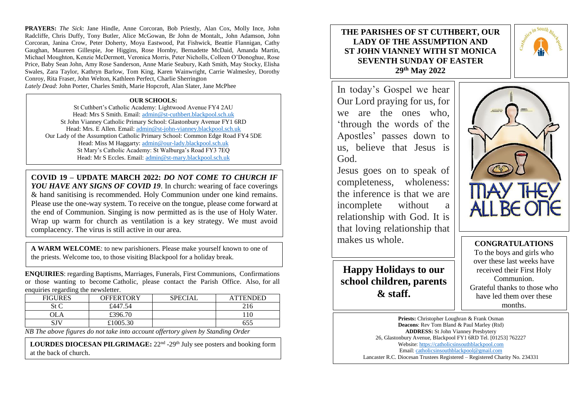**PRAYERS:** *The Sick*: Jane Hindle, Anne Corcoran, Bob Priestly, Alan Cox, Molly Ince, John Radcliffe, Chris Duffy, Tony Butler, Alice McGowan, Br John de Montalt,, John Adamson, John Corcoran, Janina Crow, Peter Doherty, Moya Eastwood, Pat Fishwick, Beattie Flannigan, Cathy Gaughan, Maureen Gillespie, Joe Higgins, Rose Hornby, Bernadette McDaid, Amanda Martin, Michael Moughton, Kenzie McDermott, Veronica Morris, Peter Nicholls, Colleen O'Donoghue, Rose Price, Baby Sean John, Amy Rose Sanderson, Anne Marie Seabury, Kath Smith, May Stocky, Elisha Swales, Zara Taylor, Kathryn Barlow, Tom King, Karen Wainwright, Carrie Walmesley, Dorothy Conroy, Rita Fraser, John Welton, Kathleen Perfect, Charlie Sherrington *Lately Dead*: John Porter, Charles Smith, Marie Hopcroft, Alan Slater, Jane McPhee

**OUR SCHOOLS:**

St Cuthbert's Catholic Academy: Lightwood Avenue FY4 2AU Head: Mrs S Smith. Email: [admin@st-cuthbert.blackpool.sch.uk](mailto:admin@st-cuthbert.blackpool.sch.uk) St John Vianney Catholic Primary School: Glastonbury Avenue FY1 6RD Head: Mrs. E Allen. Email[: admin@st-john-vianney.blackpool.sch.uk](mailto:admin@st-john-vianney.blackpool.sch.uk) Our Lady of the Assumption Catholic Primary School: Common Edge Road FY4 5DE Head: Miss M Haggarty: [admin@our-lady.blackpool.sch.uk](mailto:admin@our-lady.blackpool.sch.uk) St Mary's Catholic Academy: St Walburga's Road FY3 7EQ Head: Mr S Eccles. Email: [admin@st-mary.blackpool.sch.uk](mailto:admin@st-mary.blackpool.sch.uk)

**COVID 19 – UPDATE MARCH 2022:** *DO NOT COME TO CHURCH IF YOU HAVE ANY SIGNS OF COVID 19*. In church: wearing of face coverings & hand sanitising is recommended. Holy Communion under one kind remains. Please use the one-way system. To receive on the tongue, please come forward at the end of Communion. Singing is now permitted as is the use of Holy Water. Wrap up warm for church as ventilation is a key strategy. We must avoid complacency. The virus is still active in our area.

**A WARM WELCOME**: to new parishioners. Please make yourself known to one of the priests. Welcome too, to those visiting Blackpool for a holiday break.

**ENQUIRIES**: regarding Baptisms, Marriages, Funerals, First Communions, Confirmations or those wanting to become Catholic, please contact the Parish Office. Also, for all enquiries regarding the newsletter.

| <b>FIGURES</b> | OFFERTORY | <b>SPECIAL</b> | ATTENDED |
|----------------|-----------|----------------|----------|
| St C           | £447.54   |                | 216      |
| OLA            | £396.70   |                | 110      |
| SJV            | £1005.30  |                | 655      |

*NB The above figures do not take into account offertory given by Standing Order* 

LOURDES DIOCESAN PILGRIMAGE: 22<sup>nd</sup> -29<sup>th</sup> July see posters and booking form at the back of church.

# **THE PARISHES OF ST CUTHBERT, OUR LADY OF THE ASSUMPTION AND ST JOHN VIANNEY WITH ST MONICA SEVENTH SUNDAY OF EASTER 29th May 2022**

In today's Gospel we hear Our Lord praying for us, for we are the ones who, 'through the words of the Apostles' passes down to us, believe that Jesus is God.

Jesus goes on to speak of completeness, wholeness: the inference is that we are incomplete without a relationship with God. It is that loving relationship that makes us whole.

**Happy Holidays to our school children, parents & staff.**



**CONGRATULATIONS** To the boys and girls who over these last weeks have received their First Holy Communion. Grateful thanks to those who have led them over these months.

**Priests:** Christopher Loughran & Frank Osman **Deacons**: Rev Tom Bland & Paul Marley (Rtd) **ADDRESS:** St John Vianney Presbytery 26, Glastonbury Avenue, Blackpool FY1 6RD Tel. [01253] 762227 Website[: https://catholicsinsouthblackpool.com](https://catholicsinsouthblackpool.com/) Email[: catholicsinsouthblackpool@gmail.com](mailto:catholicsinsouthblackpool@gmail.com) Lancaster R.C. Diocesan Trustees Registered – Registered Charity No. 234331